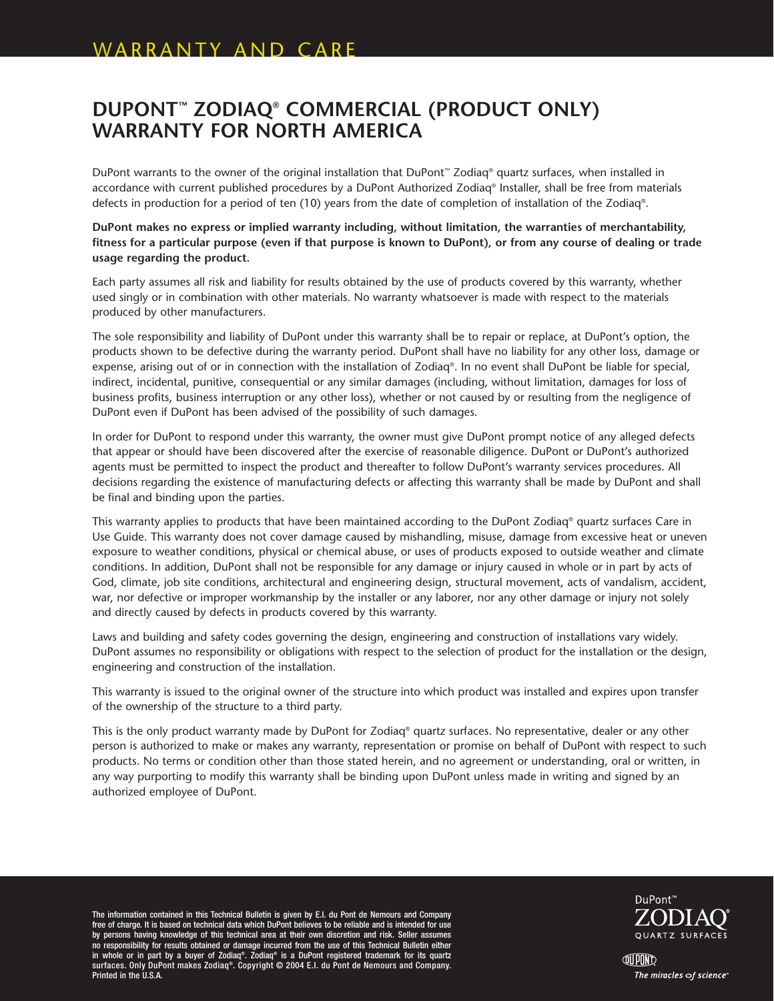## **DUPONT™ ZODIAQ® COMMERCIAL (PRODUCT ONLY) WARRANTY FOR NORTH AMERICA**

DuPont warrants to the owner of the original installation that DuPont™ Zodiaq® quartz surfaces, when installed in accordance with current published procedures by a DuPont Authorized Zodiaq® Installer, shall be free from materials defects in production for a period of ten (10) years from the date of completion of installation of the Zodiaq®.

**DuPont makes no express or implied warranty including, without limitation, the warranties of merchantability, fitness for a particular purpose (even if that purpose is known to DuPont), or from any course of dealing or trade usage regarding the product.**

Each party assumes all risk and liability for results obtained by the use of products covered by this warranty, whether used singly or in combination with other materials. No warranty whatsoever is made with respect to the materials produced by other manufacturers.

The sole responsibility and liability of DuPont under this warranty shall be to repair or replace, at DuPont's option, the products shown to be defective during the warranty period. DuPont shall have no liability for any other loss, damage or expense, arising out of or in connection with the installation of Zodiaq®. In no event shall DuPont be liable for special, indirect, incidental, punitive, consequential or any similar damages (including, without limitation, damages for loss of business profits, business interruption or any other loss), whether or not caused by or resulting from the negligence of DuPont even if DuPont has been advised of the possibility of such damages.

In order for DuPont to respond under this warranty, the owner must give DuPont prompt notice of any alleged defects that appear or should have been discovered after the exercise of reasonable diligence. DuPont or DuPont's authorized agents must be permitted to inspect the product and thereafter to follow DuPont's warranty services procedures. All decisions regarding the existence of manufacturing defects or affecting this warranty shall be made by DuPont and shall be final and binding upon the parties.

This warranty applies to products that have been maintained according to the DuPont Zodiaq® quartz surfaces Care in Use Guide. This warranty does not cover damage caused by mishandling, misuse, damage from excessive heat or uneven exposure to weather conditions, physical or chemical abuse, or uses of products exposed to outside weather and climate conditions. In addition, DuPont shall not be responsible for any damage or injury caused in whole or in part by acts of God, climate, job site conditions, architectural and engineering design, structural movement, acts of vandalism, accident, war, nor defective or improper workmanship by the installer or any laborer, nor any other damage or injury not solely and directly caused by defects in products covered by this warranty.

Laws and building and safety codes governing the design, engineering and construction of installations vary widely. DuPont assumes no responsibility or obligations with respect to the selection of product for the installation or the design, engineering and construction of the installation.

This warranty is issued to the original owner of the structure into which product was installed and expires upon transfer of the ownership of the structure to a third party.

This is the only product warranty made by DuPont for Zodiaq® quartz surfaces. No representative, dealer or any other person is authorized to make or makes any warranty, representation or promise on behalf of DuPont with respect to such products. No terms or condition other than those stated herein, and no agreement or understanding, oral or written, in any way purporting to modify this warranty shall be binding upon DuPont unless made in writing and signed by an authorized employee of DuPont.

The information contained in this Technical Bulletin is given by E.I. du Pont de Nemours and Company free of charge. It is based on technical data which DuPont believes to be reliable and is intended for use by persons having knowledge of this technical area at their own discretion and risk. Seller assumes no responsibility for results obtained or damage incurred from the use of this Technical Bulletin either in whole or in part by a buyer of Zodiaq®. Zodiaq® is a DuPont registered trademark for its quartz surfaces. Only DuPont makes Zodiaq®. Copyright © 2004 E.I. du Pont de Nemours and Company. Printed in the U.S.A.



**QUPOND** The miracles of science"